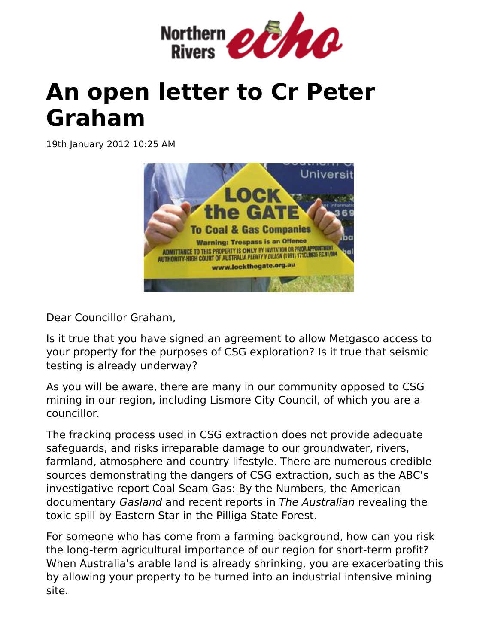

## **An open letter to Cr Peter Graham**

19th January 2012 10:25 AM



Dear Councillor Graham,

Is it true that you have signed an agreement to allow Metgasco access to your property for the purposes of CSG exploration? Is it true that seismic testing is already underway?

As you will be aware, there are many in our community opposed to CSG mining in our region, including Lismore City Council, of which you are a councillor.

The fracking process used in CSG extraction does not provide adequate safeguards, and risks irreparable damage to our groundwater, rivers, farmland, atmosphere and country lifestyle. There are numerous credible sources demonstrating the dangers of CSG extraction, such as the ABC's investigative report Coal Seam Gas: By the Numbers, the American documentary Gasland and recent reports in The Australian revealing the toxic spill by Eastern Star in the Pilliga State Forest.

For someone who has come from a farming background, how can you risk the long-term agricultural importance of our region for short-term profit? When Australia's arable land is already shrinking, you are exacerbating this by allowing your property to be turned into an industrial intensive mining site.